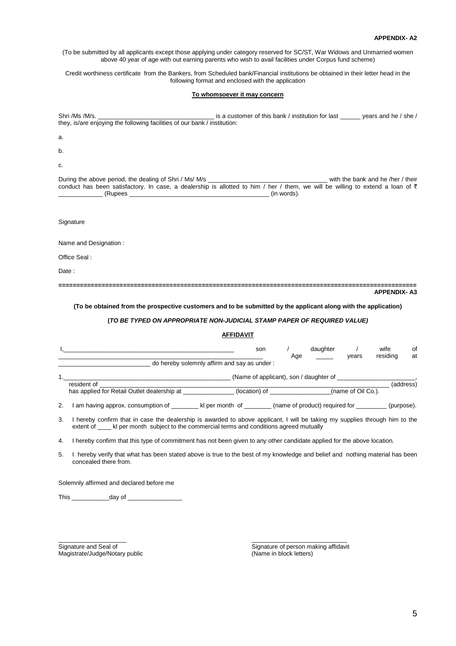#### **APPENDIX- A2**

(To be submitted by all applicants except those applying under category reserved for SC/ST, War Widows and Unmarried women above 40 year of age with out earning parents who wish to avail facilities under Corpus fund scheme)

Credit worthiness certificate from the Bankers, from Scheduled bank/Financial institutions be obtained in their letter head in the following format and enclosed with the application

#### **To whomsoever it may concern**

Shri /Ms /M/s. \_\_\_\_\_\_\_\_\_\_\_\_\_\_\_\_\_\_\_\_\_\_\_\_\_\_\_\_\_\_\_\_\_\_ is a customer of this bank / institution for last \_\_\_\_\_\_ years and he / she / they, is/are enjoying the following facilities of our bank / institution:

a.

b.

c.

During the above period, the dealing of Shri / Ms/ M/s \_\_\_\_\_\_\_\_\_\_\_\_\_\_\_\_\_\_\_\_\_\_\_\_\_\_\_\_\_\_\_\_\_\_\_ with the bank and he /her / their conduct has been satisfactory. In case, a dealership is allotted to him / her / them, we will be willing to extend a loan of  $\bar{\epsilon}$ <br>(Rupees (in words).  $(in$  words).

**Signature** 

Name and Designation :

Office Seal :

Date:

**==================================================================================================== APPENDIX- A3** 

### **(To be obtained from the prospective customers and to be submitted by the applicant along with the application)**

## **(TO BE TYPED ON APPROPRIATE NON-JUDICIAL STAMP PAPER OF REQUIRED VALUE)**

## **AFFIDAVIT**

|   |                                                                                    | son                                         | Age | daughter                       | years | wife<br>residing | 0f<br>at  |  |  |
|---|------------------------------------------------------------------------------------|---------------------------------------------|-----|--------------------------------|-------|------------------|-----------|--|--|
|   |                                                                                    | do hereby solemnly affirm and say as under: |     |                                |       |                  |           |  |  |
|   | (Name of applicant), son / daughter of                                             |                                             |     |                                |       |                  |           |  |  |
|   | resident of                                                                        |                                             |     |                                |       |                  | (address) |  |  |
|   | has applied for Retail Outlet dealership at<br>(location) of<br>(name of Oil Co.). |                                             |     |                                |       |                  |           |  |  |
| ົ | am having approx concumption of                                                    | kl nor month of                             |     | (name of product) required for |       |                  | (n)       |  |  |

2. I am having approx. consumption of \_\_\_\_\_\_\_\_ kl per month of \_\_\_\_\_\_\_\_ (name of product) required for \_\_\_\_\_\_\_\_ (purpose).

3. I hereby confirm that in case the dealership is awarded to above applicant, I will be taking my supplies through him to the extent of  $\blacksquare$  kl per month subject to the commercial terms and conditions agreed mutually

4. I hereby confirm that this type of commitment has not been given to any other candidate applied for the above location.

\_\_\_\_\_\_\_\_\_\_\_\_\_\_\_\_\_\_\_\_ \_\_\_\_\_\_\_\_\_\_\_\_\_\_\_\_\_\_\_\_\_\_\_\_\_\_\_\_

5. I hereby verify that what has been stated above is true to the best of my knowledge and belief and nothing material has been concealed there from.

Solemnly affirmed and declared before me

This \_\_\_\_\_\_\_\_\_\_\_day of \_\_\_\_\_\_\_\_\_\_\_\_\_\_\_\_

Magistrate/Judge/Notary public

Signature and Seal of Signature and Seal of Signature of person making affidavit<br>
Magistrate/Judge/Notary public<br>
(Name in block letters)